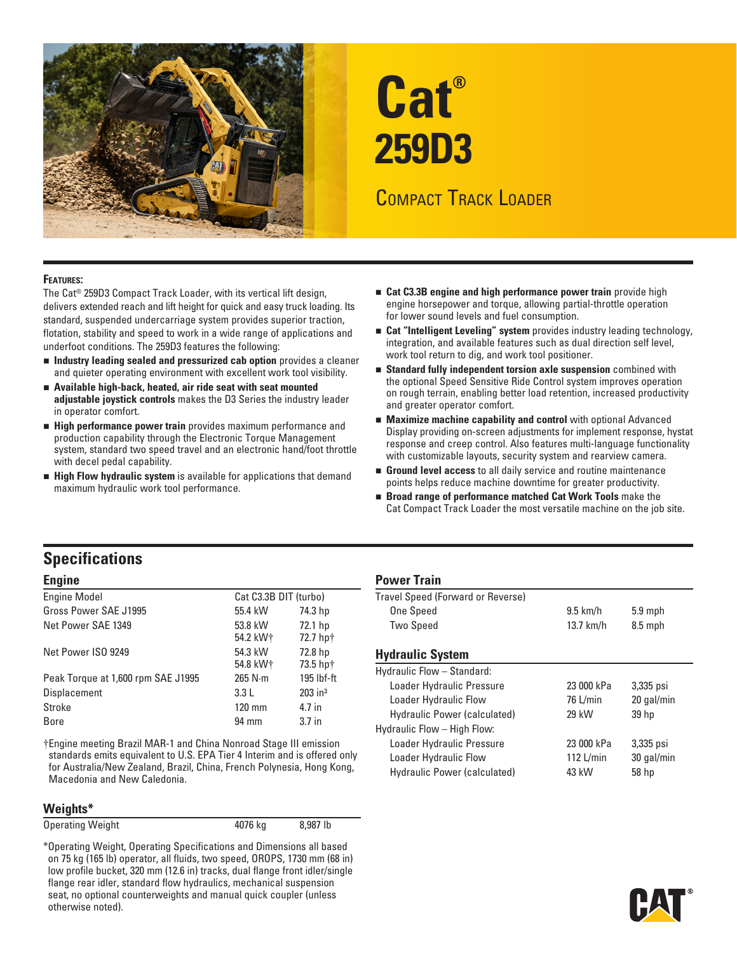

# **Cat® 259D3**

# COMPACT TRACK LOADER

#### **Features:**

The Cat® 259D3 Compact Track Loader, with its vertical lift design, delivers extended reach and lift height for quick and easy truck loading. Its standard, suspended undercarriage system provides superior traction, flotation, stability and speed to work in a wide range of applications and underfoot conditions. The 259D3 features the following:

- **ndustry leading sealed and pressurized cab option** provides a cleaner and quieter operating environment with excellent work tool visibility.
- **n** Available high-back, heated, air ride seat with seat mounted **adjustable joystick controls** makes the D3 Series the industry leader in operator comfort.
- **High performance power train** provides maximum performance and production capability through the Electronic Torque Management system, standard two speed travel and an electronic hand/foot throttle with decel pedal capability.
- **High Flow hydraulic system** is available for applications that demand maximum hydraulic work tool performance.
- **Example 2.33 Engine and high performance power train** provide high engine horsepower and torque, allowing partial-throttle operation for lower sound levels and fuel consumption.
- **Example 2 Cat "Intelligent Leveling" system** provides industry leading technology, integration, and available features such as dual direction self level, work tool return to dig, and work tool positioner.
- **Standard fully independent torsion axle suspension** combined with the optional Speed Sensitive Ride Control system improves operation on rough terrain, enabling better load retention, increased productivity and greater operator comfort.
- **Maximize machine capability and control** with optional Advanced Display providing on-screen adjustments for implement response, hystat response and creep control. Also features multi-language functionality with customizable layouts, security system and rearview camera.
- **Ground level access** to all daily service and routine maintenance points helps reduce machine downtime for greater productivity.
- **Broad range of performance matched Cat Work Tools** make the Cat Compact Track Loader the most versatile machine on the job site.

## **Specifications**

| <b>Engine Model</b>                | Cat C3.3B DIT (turbo)           |                       | Travel Speed (Forward or Reverse)                            |            |            |
|------------------------------------|---------------------------------|-----------------------|--------------------------------------------------------------|------------|------------|
| Gross Power SAE J1995              | 55.4 kW                         | 74.3 hp               | One Speed                                                    | $9.5$ km/h | $5.9$ mph  |
| Net Power SAE 1349                 | 53.8 kW<br>54.2 kW <sup>+</sup> | 72.1 hp<br>72.7 hp+   | <b>Two Speed</b>                                             | 13.7 km/h  | $8.5$ mph  |
| Net Power ISO 9249                 | 54.3 kW<br>54.8 kW <sup>+</sup> | 72.8 hp<br>73.5 hp†   | <b>Hydraulic System</b>                                      |            |            |
| Peak Torque at 1,600 rpm SAE J1995 | $265$ N $\cdot$ m               | $195$ lbf-ft          | Hydraulic Flow - Standard:                                   |            |            |
| Displacement                       | 3.3L                            | $203$ in <sup>3</sup> | Loader Hydraulic Pressure                                    | 23 000 kPa | $3,335$ ps |
| Stroke                             | 120 mm                          | 4.7 in                | Loader Hydraulic Flow                                        | 76 L/min   | $20$ gal/m |
| Bore                               | 94 mm                           | 3.7 <sub>in</sub>     | Hydraulic Power (calculated)<br>Underula Flori - Ulah Florin | 29 kW      | 39 hp      |

†Engine meeting Brazil MAR-1 and China Nonroad Stage III emission Loader Hydraulic Pressure 23 000 kPa 3,335 psi standards emits equivalent to U.S. EPA Tier 4 Interim and is offered only for Australia/New Zealand, Brazil, China, French Polynesia, Hong Kong, Macedonia and New Caledonia.

#### **Weights\***

Operating Weight **4076** kg 8,987 lb

\*Operating Weight, Operating Specifications and Dimensions all based on 75 kg (165 lb) operator, all fluids, two speed, OROPS, 1730 mm (68 in) low profile bucket, 320 mm (12.6 in) tracks, dual flange front idler/single flange rear idler, standard flow hydraulics, mechanical suspension seat, no optional counterweights and manual quick coupler (unless otherwise noted).

#### **Engine Power Train**

### **Hydraulic System**

| Hydraulic Flow - Standard:   |            |            |  |
|------------------------------|------------|------------|--|
| Loader Hydraulic Pressure    | 23 000 kPa | 3,335 psi  |  |
| Loader Hydraulic Flow        | 76 L/min   | 20 gal/min |  |
| Hydraulic Power (calculated) | 29 kW      | 39 hp      |  |
| Hydraulic Flow - High Flow:  |            |            |  |
| Loader Hydraulic Pressure    | 23 000 kPa | 3,335 psi  |  |
| Loader Hydraulic Flow        | 112 L/min  | 30 gal/min |  |
| Hydraulic Power (calculated) | 43 kW      | 58 hp      |  |
|                              |            |            |  |

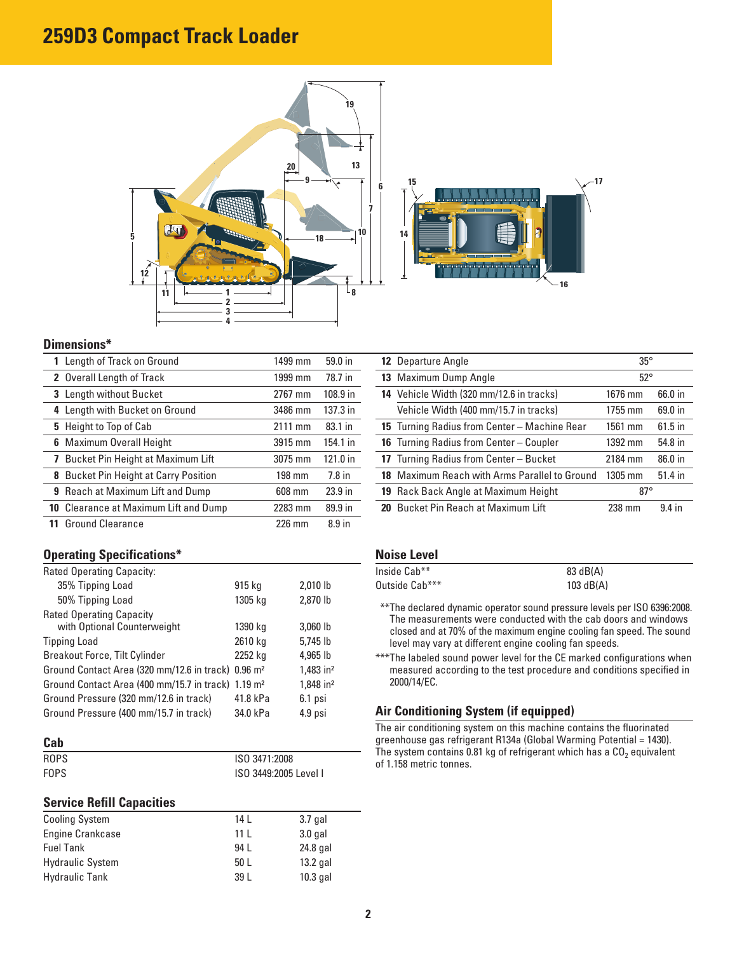# **259D3 Compact Track Loader**





#### **Dimensions\***

| 1 Length of Track on Ground                  | 1499 mm | 59.0 in           |
|----------------------------------------------|---------|-------------------|
| 2 Overall Length of Track                    | 1999 mm | 78.7 in           |
| 3 Length without Bucket                      | 2767 mm | 108.9 in          |
| 4 Length with Bucket on Ground               | 3486 mm | 137.3 in          |
| 5 Height to Top of Cab                       | 2111 mm | 83.1 in           |
| <b>6</b> Maximum Overall Height              | 3915 mm | 154.1 in          |
| 7 Bucket Pin Height at Maximum Lift          | 3075 mm | 121.0 in          |
| <b>8</b> Bucket Pin Height at Carry Position | 198 mm  | $7.8$ in          |
| 9 Reach at Maximum Lift and Dump             | 608 mm  | 23.9 in           |
| <b>10</b> Clearance at Maximum Lift and Dump | 2283 mm | 89.9 in           |
| <b>Ground Clearance</b>                      | 226 mm  | 8.9 <sub>in</sub> |

#### **Operating Specifications\***

| Rated Operating Capacity:                                      |          |                       |
|----------------------------------------------------------------|----------|-----------------------|
| 35% Tipping Load                                               | 915 kg   | 2,010 lb              |
| 50% Tipping Load                                               | 1305 kg  | 2,870 lb              |
| <b>Rated Operating Capacity</b>                                |          |                       |
| with Optional Counterweight                                    | 1390 kg  | 3,060 lb              |
| <b>Tipping Load</b>                                            | 2610 kg  | $5.745$ lb            |
| Breakout Force, Tilt Cylinder                                  | 2252 kg  | 4,965 lb              |
| Ground Contact Area (320 mm/12.6 in track) 0.96 m <sup>2</sup> |          | 1,483 in <sup>2</sup> |
| Ground Contact Area (400 mm/15.7 in track) 1.19 m <sup>2</sup> |          | 1,848 in <sup>2</sup> |
| Ground Pressure (320 mm/12.6 in track)                         | 41.8 kPa | 6.1 psi               |
| Ground Pressure (400 mm/15.7 in track)                         | 34.0 kPa | 4.9 psi               |

#### **Cab**

| <b>ROPS</b> | ISO 3471:2008         |
|-------------|-----------------------|
| <b>FOPS</b> | ISO 3449:2005 Level I |

#### **Service Refill Capacities**

| <b>Cooling System</b>   | 14 I | $3.7$ gal  |
|-------------------------|------|------------|
| <b>Engine Crankcase</b> | 11 L | $3.0$ gal  |
| <b>Fuel Tank</b>        | 94 I | 24.8 gal   |
| <b>Hydraulic System</b> | 50L  | $13.2$ gal |
| <b>Hydraulic Tank</b>   | 39 L | $10.3$ gal |

| <b>12</b> Departure Angle                           | $35^\circ$   |           |
|-----------------------------------------------------|--------------|-----------|
| 13 Maximum Dump Angle                               | $52^{\circ}$ |           |
| 14 Vehicle Width (320 mm/12.6 in tracks)            | 1676 mm      | 66.0 in   |
| Vehicle Width (400 mm/15.7 in tracks)               | 1755 mm      | 69.0 in   |
| <b>15</b> Turning Radius from Center – Machine Rear | 1561 mm      | $61.5$ in |
| <b>16</b> Turning Radius from Center - Coupler      | 1392 mm      | 54.8 in   |
| 17 Turning Radius from Center - Bucket              | 2184 mm      | 86.0 in   |
| 18 Maximum Reach with Arms Parallel to Ground       | $1305$ mm    | 51.4 in   |
| 19 Rack Back Angle at Maximum Height                | $87^\circ$   |           |
| 20 Bucket Pin Reach at Maximum Lift                 | 238 mm       | 94 in     |

#### **Noise Level**

| Inside Cab**   | 83 dB(A)    |
|----------------|-------------|
| Outside Cab*** | 103 $dB(A)$ |

- \* \*\*The declared dynamic operator sound pressure levels per ISO 6396:2008. The measurements were conducted with the cab doors and windows closed and at 70% of the maximum engine cooling fan speed. The sound level may vary at different engine cooling fan speeds.
- \*\*\*The labeled sound power level for the CE marked configurations when measured according to the test procedure and conditions specified in 2000/14/EC.

#### **Air Conditioning System (if equipped)**

The air conditioning system on this machine contains the fluorinated greenhouse gas refrigerant R134a (Global Warming Potential = 1430). The system contains 0.81 kg of refrigerant which has a  $CO<sub>2</sub>$  equivalent of 1.158 metric tonnes.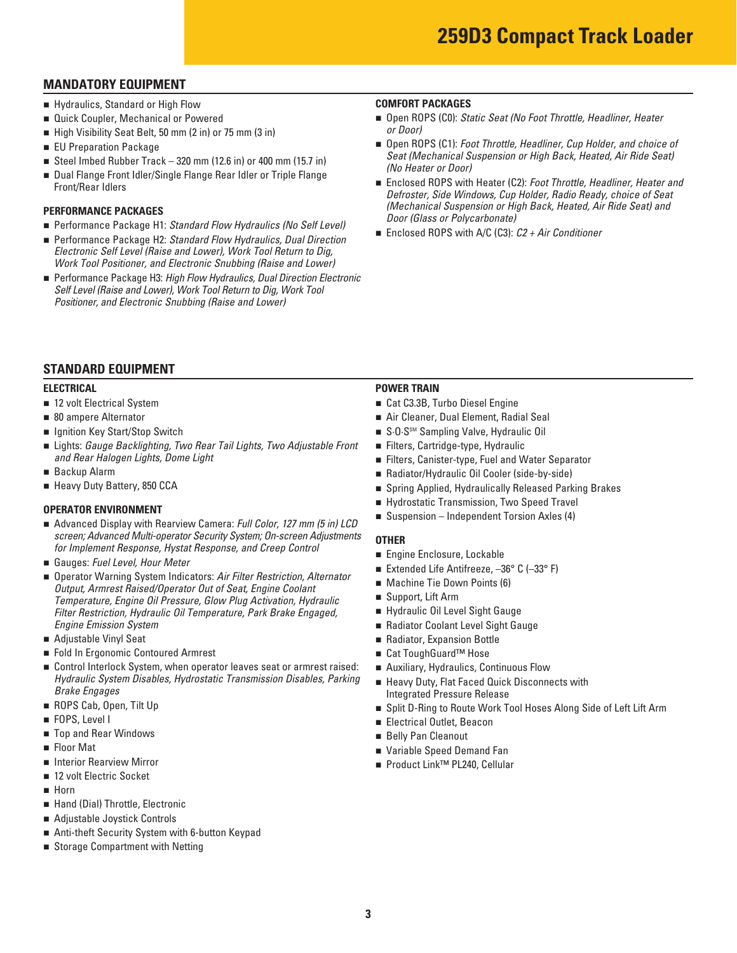## **MANDATORY EQUIPMENT**

- **E** Hydraulics, Standard or High Flow
- **Quick Coupler, Mechanical or Powered**
- n High Visibility Seat Belt, 50 mm (2 in) or 75 mm (3 in)
- **EU Preparation Package**
- n Steel Imbed Rubber Track 320 mm (12.6 in) or 400 mm (15.7 in)
- **Dual Flange Front Idler/Single Flange Rear Idler or Triple Flange** Front/Rear Idlers

#### **PERFORMANCE PACKAGES**

- Performance Package H1: Standard Flow Hydraulics (No Self Level)
- Performance Package H2: Standard Flow Hydraulics, Dual Direction *Electronic Self Level (Raise and Lower), Work Tool Return to Dig, Work Tool Positioner, and Electronic Snubbing (Raise and Lower)*
- Performance Package H3: *High Flow Hydraulics, Dual Direction Electronic Self Level (Raise and Lower), Work Tool Return to Dig, Work Tool Positioner, and Electronic Snubbing (Raise and Lower)*

#### **COMFORT PACKAGES**

- Open ROPS (C0): *Static Seat (No Foot Throttle, Headliner, Heater or Door)*
- Open ROPS (C1): *Foot Throttle, Headliner, Cup Holder, and choice of Seat (Mechanical Suspension or High Back, Heated, Air Ride Seat) (No Heater or Door)*
- Enclosed ROPS with Heater (C2): *Foot Throttle, Headliner, Heater and Defroster, Side Windows, Cup Holder, Radio Ready, choice of Seat (Mechanical Suspension or High Back, Heated, Air Ride Seat) and Door (Glass or Polycarbonate)*
- Enclosed ROPS with A/C (C3): *C2 + Air Conditioner*

## **STANDARD EQUIPMENT**

- 12 volt Electrical System
- 80 ampere Alternator
- **u** Ignition Key Start/Stop Switch
- n Lights: *Gauge Backlighting, Two Rear Tail Lights, Two Adjustable Front* n Filters, Cartridge-type, Hydraulic and Rear Halogen Lights, Dome Light **n Filters, Canister-type, Fuel and Water Separator**
- **Backup Alarm**
- **E** Heavy Duty Battery, 850 CCA

- **OPERATOR ENVIRONMENT**<br>■ Advanced Display with Rearview Camera: *Full Color, 127 mm (5 in) LCD* Suspension Independent Torsion Axles (4) *screen; Advanced Multi-operator Security System; On-screen Adjustments* **OTHER**<br>*for Implement Response, Hystat Response, and Creep Control* **Formation**
- Gauges: Fuel Level, Hour Meter
- *Engine Emission System* **n** Radiator Coolant Level Sight Gauge for Implement Response, Hystat Response, and Creep Control<br>
■ Gauges: Fuel Level, Hour Meter<br>
■ Operator Warning System Indicators: Air Filter Restriction, Alternator<br>
Dutput, Armrest Raised/Operator Out of Seat, Engine C *Temperature, Engine Oil Pressure, Glow Plug Activation, Hydraulic* **Filter Restriction, Hydraulic Oil Temperature, Park Brake Engaged,**
- Adjustable Vinyl Seat
- Fold In Ergonomic Contoured Armrest n Cat ToughGuard™ Hose
- Control Interlock System, when operator leaves seat or armrest raised: Auxiliary, Hydraulics, Continuous Flow *Hydraulic System Disables, Hydrostatic Transmission Disables, Parking Brakeng*<br>Brake Engages
- **ROPS Cab, Open, Tilt Up**
- **FOPS, Level I**
- **The Selly Pan Cleanout The Selly Pan Cleanout n** Belly Pan Cleanout
- **Floor Mat**
- **E** Interior Rearview Mirror
- 12 volt Electric Socket
- n Horn
- **E** Hand (Dial) Throttle, Electronic
- n Adjustable Joystick Controls
- n Anti-theft Security System with 6-button Keypad
- **B** Storage Compartment with Netting

#### **ELECTRICAL POWER TRAIN**

- 12 volt Electrical System n Cat C3.3B, Turbo Diesel Engine
- **1** 80 ampere Alternator **120 ampere Alternator** 1 **Air Cleaner, Dual Element, Radial Seal**
- **n** Ignition Key Start/Stop Switch n S·O·SSM Sampling Valve, Hydraulic Oil
	- Filters, Cartridge-type, Hydraulic
	-
- Backup Alarm **n Radiator/Hydraulic Oil Cooler (side-by-side)**
- Heavy Duty Battery, 850 CCA n Spring Applied, Hydraulically Released Parking Brakes
	- Hydrostatic Transmission, Two Speed Travel
	- Suspension Independent Torsion Axles (4)

- **Engine Enclosure, Lockable**
- Extended Life Antifreeze, -36° C (-33° F)
- Machine Tie Down Points (6)
- <sup>n</sup> Support, Lift Arm
	- Hydraulic Oil Level Sight Gauge
	-
- **Adjustable Vinyl Seat n Radiator, Expansion Bottle Search Radiator, Expansion Bottle Radiator, Expansion Bottle** 
	- Cat ToughGuard<sup>™</sup> Hose
	- Auxiliary, Hydraulics, Continuous Flow
	- **Heavy Duty, Flat Faced Quick Disconnects with Integrated Pressure Release**
- ROPS Cab, Open, Tilt Up **n Split D-Ring to Route Work Tool Hoses Along Side of Left Lift Arm**
- **Example 2** FOPS, Level I n Electrical Outlet, Beacon
	- **Belly Pan Cleanout**
- Floor Mat n Variable Speed Demand Fan
- Interior Rearview Mirror n Product Link™ PL240, Cellular